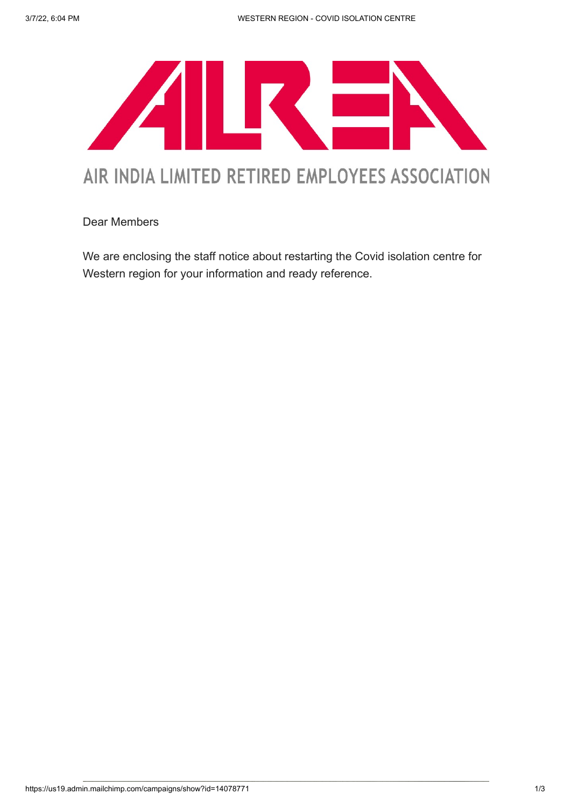

## AIR INDIA LIMITED RETIRED EMPLOYEES ASSOCIATION

Dear Members

We are enclosing the staff notice about restarting the Covid isolation centre for Western region for your information and ready reference.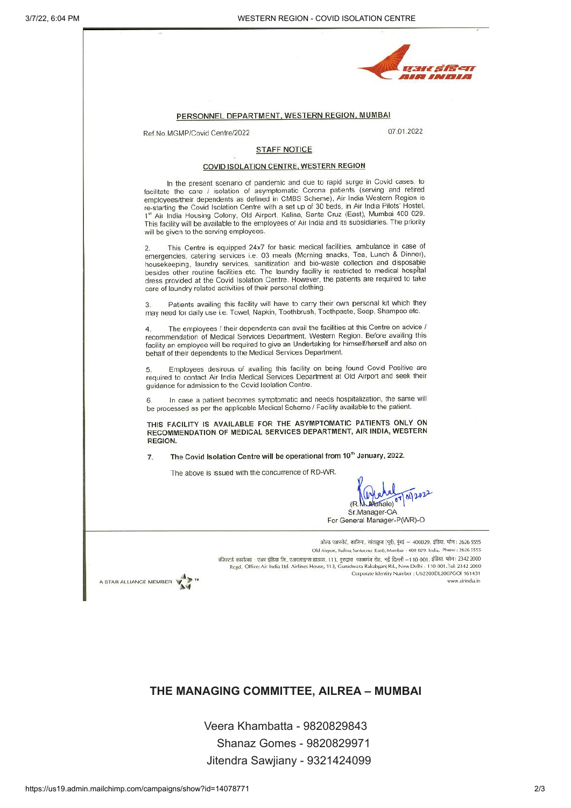|                        |                                                                                              | PERSONNEL DEPARTMENT, WESTERN REGION, MUMBAI                                        |                                                                                                                                                                                                                                                                                                                                                                                                                                                                                                                                                           |                 |
|------------------------|----------------------------------------------------------------------------------------------|-------------------------------------------------------------------------------------|-----------------------------------------------------------------------------------------------------------------------------------------------------------------------------------------------------------------------------------------------------------------------------------------------------------------------------------------------------------------------------------------------------------------------------------------------------------------------------------------------------------------------------------------------------------|-----------------|
|                        | Ref.No.MGMP/Covid Centre/2022                                                                |                                                                                     | 07.01.2022                                                                                                                                                                                                                                                                                                                                                                                                                                                                                                                                                |                 |
|                        |                                                                                              | <b>STAFF NOTICE</b>                                                                 |                                                                                                                                                                                                                                                                                                                                                                                                                                                                                                                                                           |                 |
|                        |                                                                                              | COVID ISOLATION CENTRE, WESTERN REGION                                              |                                                                                                                                                                                                                                                                                                                                                                                                                                                                                                                                                           |                 |
|                        | will be given to the serving employees.                                                      |                                                                                     | In the present scenario of pandemic and due to rapid surge in Covid cases, to<br>facilitate the care / isolation of asymptomatic Corona patients (serving and retired<br>employees/their dependents as defined in CMBS Scheme), Air India Western Region is<br>re-starting the Covid Isolation Centre with a set up of 30 beds, in Air India Pilots' Hostel,<br>1st Air India Housing Colony, Old Airport, Kalina, Santa Cruz (East), Mumbai 400 029.<br>This facility will be available to the employees of Air India and its subsidiaries. The priority |                 |
|                        | 2.<br>care of laundry related activities of their personal clothing.                         |                                                                                     | This Centre is equipped 24x7 for basic medical facilities, ambulance in case of<br>emergencies, catering services i.e. 03 meals (Morning snacks, Tea, Lunch & Dinner),<br>housekeeping, laundry services, sanitization and bio-waste collection and disposable<br>besides other routine facilities etc. The laundry facility is restricted to medical hospital<br>dress provided at the Covid Isolation Centre. However, the patients are required to take                                                                                                |                 |
|                        | 3.                                                                                           |                                                                                     | Patients availing this facility will have to carry their own personal kit which they<br>may need for daily use i.e. Towel, Napkin, Toothbrush, Toothpaste, Soap, Shampoo etc.                                                                                                                                                                                                                                                                                                                                                                             |                 |
|                        | 4.<br>behalf of their dependents to the Medical Services Department.                         |                                                                                     | The employees / their dependents can avail the facilities at this Centre on advice /<br>recommendation of Medical Services Department, Western Region. Before availing this<br>facility an employee will be required to give an Undertaking for himself/herself and also on                                                                                                                                                                                                                                                                               |                 |
|                        | 5.<br>guidance for admission to the Covid Isolation Centre.                                  |                                                                                     | Employees desirous of availing this facility on being found Covid Positive are<br>required to contact Air India Medical Services Department at Old Airport and seek their                                                                                                                                                                                                                                                                                                                                                                                 |                 |
|                        | 6.<br>be processed as per the applicable Medical Scheme / Facility available to the patient. |                                                                                     | In case a patient becomes symptomatic and needs hospitalization, the same will                                                                                                                                                                                                                                                                                                                                                                                                                                                                            |                 |
|                        | REGION.                                                                                      |                                                                                     | THIS FACILITY IS AVAILABLE FOR THE ASYMPTOMATIC PATIENTS ONLY ON<br>RECOMMENDATION OF MEDICAL SERVICES DEPARTMENT, AIR INDIA, WESTERN                                                                                                                                                                                                                                                                                                                                                                                                                     |                 |
|                        | 7.                                                                                           | The Covid Isolation Centre will be operational from 10 <sup>th</sup> January, 2022. |                                                                                                                                                                                                                                                                                                                                                                                                                                                                                                                                                           |                 |
|                        |                                                                                              | The above is issued with the concurrence of RD-WR.                                  |                                                                                                                                                                                                                                                                                                                                                                                                                                                                                                                                                           |                 |
|                        |                                                                                              |                                                                                     | Sr.Manager-OA<br>For General Manager-P(WR)-O                                                                                                                                                                                                                                                                                                                                                                                                                                                                                                              |                 |
| A STAR ALLIANCE MEMBER |                                                                                              |                                                                                     | ओल्ड एअरपोर्ट, कालिना, सांताक्रुज (पूर्व), मुंबई — 400029. इंडिया. फोन : 2626 5555<br>Old Airport, Kalina, Santacruz (East), Mumbai - 400 029. India. Phone : 2626 5555<br>रजिस्टर्ड कार्यालय : एअर इंडिया लि., एअरलाइन्स हाऊस, 113, गुरुद्वारा 'रकाबगंज रोड, नई दिल्ली –110 001, इंडिया. फोन : 2342 2000<br>Regd, Office: Air India Ltd. Airlines House, 113, Gurudwara Rakabganj Rd., New Delhi - 110 001. Tel: 2342 2000<br>Corporate Identity Number : U62200DL2007GOI 161431                                                                         | www.airindia.in |

THE MANAGING COMMITTEE, AILREA – MUMBAI

 Veera Khambatta - 9820829843 Shanaz Gomes - 9820829971 Jitendra Sawjiany - 9321424099